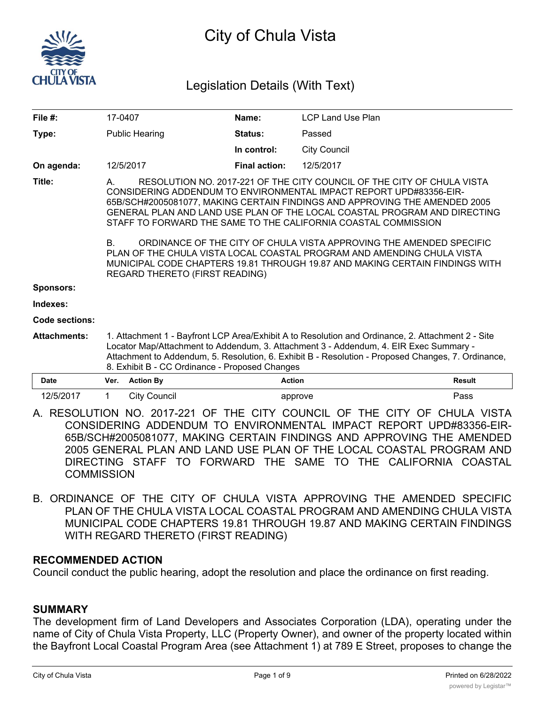

# City of Chula Vista

## Legislation Details (With Text)

| File $#$ :          | 17-0407                                                                                                                                                                                                                                                                                                                                            |                     | Name:                | LCP Land Use Plan                                                                                                                                                                                                                                                                                                                                                                                                                                                                                                                        |               |
|---------------------|----------------------------------------------------------------------------------------------------------------------------------------------------------------------------------------------------------------------------------------------------------------------------------------------------------------------------------------------------|---------------------|----------------------|------------------------------------------------------------------------------------------------------------------------------------------------------------------------------------------------------------------------------------------------------------------------------------------------------------------------------------------------------------------------------------------------------------------------------------------------------------------------------------------------------------------------------------------|---------------|
| Type:               | <b>Public Hearing</b>                                                                                                                                                                                                                                                                                                                              |                     | Status:              | Passed                                                                                                                                                                                                                                                                                                                                                                                                                                                                                                                                   |               |
|                     |                                                                                                                                                                                                                                                                                                                                                    |                     | In control:          | <b>City Council</b>                                                                                                                                                                                                                                                                                                                                                                                                                                                                                                                      |               |
| On agenda:          | 12/5/2017                                                                                                                                                                                                                                                                                                                                          |                     | <b>Final action:</b> | 12/5/2017                                                                                                                                                                                                                                                                                                                                                                                                                                                                                                                                |               |
| Title:              | A.<br>STAFF TO FORWARD THE SAME TO THE CALIFORNIA COASTAL COMMISSION<br>B.<br>REGARD THERETO (FIRST READING)                                                                                                                                                                                                                                       |                     |                      | RESOLUTION NO. 2017-221 OF THE CITY COUNCIL OF THE CITY OF CHULA VISTA<br>CONSIDERING ADDENDUM TO ENVIRONMENTAL IMPACT REPORT UPD#83356-EIR-<br>65B/SCH#2005081077, MAKING CERTAIN FINDINGS AND APPROVING THE AMENDED 2005<br>GENERAL PLAN AND LAND USE PLAN OF THE LOCAL COASTAL PROGRAM AND DIRECTING<br>ORDINANCE OF THE CITY OF CHULA VISTA APPROVING THE AMENDED SPECIFIC<br>PLAN OF THE CHULA VISTA LOCAL COASTAL PROGRAM AND AMENDING CHULA VISTA<br>MUNICIPAL CODE CHAPTERS 19.81 THROUGH 19.87 AND MAKING CERTAIN FINDINGS WITH |               |
| Sponsors:           |                                                                                                                                                                                                                                                                                                                                                    |                     |                      |                                                                                                                                                                                                                                                                                                                                                                                                                                                                                                                                          |               |
| Indexes:            |                                                                                                                                                                                                                                                                                                                                                    |                     |                      |                                                                                                                                                                                                                                                                                                                                                                                                                                                                                                                                          |               |
| Code sections:      |                                                                                                                                                                                                                                                                                                                                                    |                     |                      |                                                                                                                                                                                                                                                                                                                                                                                                                                                                                                                                          |               |
| <b>Attachments:</b> | 1. Attachment 1 - Bayfront LCP Area/Exhibit A to Resolution and Ordinance, 2. Attachment 2 - Site<br>Locator Map/Attachment to Addendum, 3. Attachment 3 - Addendum, 4. EIR Exec Summary -<br>Attachment to Addendum, 5. Resolution, 6. Exhibit B - Resolution - Proposed Changes, 7. Ordinance,<br>8. Exhibit B - CC Ordinance - Proposed Changes |                     |                      |                                                                                                                                                                                                                                                                                                                                                                                                                                                                                                                                          |               |
| <b>Date</b>         | Ver.                                                                                                                                                                                                                                                                                                                                               | <b>Action By</b>    | <b>Action</b>        |                                                                                                                                                                                                                                                                                                                                                                                                                                                                                                                                          | <b>Result</b> |
| 12/5/2017           | 1.                                                                                                                                                                                                                                                                                                                                                 | <b>City Council</b> |                      | approve                                                                                                                                                                                                                                                                                                                                                                                                                                                                                                                                  | Pass          |

A. RESOLUTION NO. 2017-221 OF THE CITY COUNCIL OF THE CITY OF CHULA VISTA CONSIDERING ADDENDUM TO ENVIRONMENTAL IMPACT REPORT UPD#83356-EIR-65B/SCH#2005081077, MAKING CERTAIN FINDINGS AND APPROVING THE AMENDED 2005 GENERAL PLAN AND LAND USE PLAN OF THE LOCAL COASTAL PROGRAM AND DIRECTING STAFF TO FORWARD THE SAME TO THE CALIFORNIA COASTAL **COMMISSION** 

B. ORDINANCE OF THE CITY OF CHULA VISTA APPROVING THE AMENDED SPECIFIC PLAN OF THE CHULA VISTA LOCAL COASTAL PROGRAM AND AMENDING CHULA VISTA MUNICIPAL CODE CHAPTERS 19.81 THROUGH 19.87 AND MAKING CERTAIN FINDINGS WITH REGARD THERETO (FIRST READING)

#### **RECOMMENDED ACTION**

Council conduct the public hearing, adopt the resolution and place the ordinance on first reading.

#### **SUMMARY**

The development firm of Land Developers and Associates Corporation (LDA), operating under the name of City of Chula Vista Property, LLC (Property Owner), and owner of the property located within the Bayfront Local Coastal Program Area (see Attachment 1) at 789 E Street, proposes to change the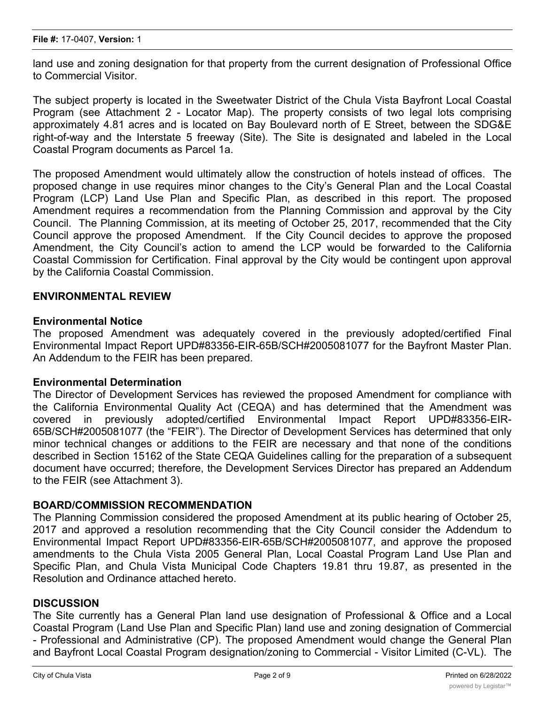land use and zoning designation for that property from the current designation of Professional Office to Commercial Visitor.

The subject property is located in the Sweetwater District of the Chula Vista Bayfront Local Coastal Program (see Attachment 2 - Locator Map). The property consists of two legal lots comprising approximately 4.81 acres and is located on Bay Boulevard north of E Street, between the SDG&E right-of-way and the Interstate 5 freeway (Site). The Site is designated and labeled in the Local Coastal Program documents as Parcel 1a.

The proposed Amendment would ultimately allow the construction of hotels instead of offices. The proposed change in use requires minor changes to the City's General Plan and the Local Coastal Program (LCP) Land Use Plan and Specific Plan, as described in this report. The proposed Amendment requires a recommendation from the Planning Commission and approval by the City Council. The Planning Commission, at its meeting of October 25, 2017, recommended that the City Council approve the proposed Amendment. If the City Council decides to approve the proposed Amendment, the City Council's action to amend the LCP would be forwarded to the California Coastal Commission for Certification. Final approval by the City would be contingent upon approval by the California Coastal Commission.

#### **ENVIRONMENTAL REVIEW**

#### **Environmental Notice**

The proposed Amendment was adequately covered in the previously adopted/certified Final Environmental Impact Report UPD#83356-EIR-65B/SCH#2005081077 for the Bayfront Master Plan. An Addendum to the FEIR has been prepared.

#### **Environmental Determination**

The Director of Development Services has reviewed the proposed Amendment for compliance with the California Environmental Quality Act (CEQA) and has determined that the Amendment was covered in previously adopted/certified Environmental Impact Report UPD#83356-EIR-65B/SCH#2005081077 (the "FEIR"). The Director of Development Services has determined that only minor technical changes or additions to the FEIR are necessary and that none of the conditions described in Section 15162 of the State CEQA Guidelines calling for the preparation of a subsequent document have occurred; therefore, the Development Services Director has prepared an Addendum to the FEIR (see Attachment 3).

#### **BOARD/COMMISSION RECOMMENDATION**

The Planning Commission considered the proposed Amendment at its public hearing of October 25, 2017 and approved a resolution recommending that the City Council consider the Addendum to Environmental Impact Report UPD#83356-EIR-65B/SCH#2005081077, and approve the proposed amendments to the Chula Vista 2005 General Plan, Local Coastal Program Land Use Plan and Specific Plan, and Chula Vista Municipal Code Chapters 19.81 thru 19.87, as presented in the Resolution and Ordinance attached hereto.

#### **DISCUSSION**

The Site currently has a General Plan land use designation of Professional & Office and a Local Coastal Program (Land Use Plan and Specific Plan) land use and zoning designation of Commercial - Professional and Administrative (CP). The proposed Amendment would change the General Plan and Bayfront Local Coastal Program designation/zoning to Commercial - Visitor Limited (C-VL). The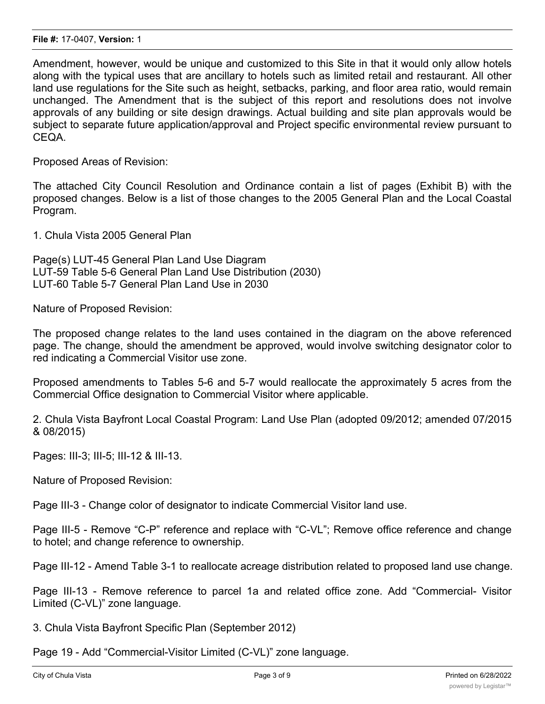Amendment, however, would be unique and customized to this Site in that it would only allow hotels along with the typical uses that are ancillary to hotels such as limited retail and restaurant. All other land use regulations for the Site such as height, setbacks, parking, and floor area ratio, would remain unchanged. The Amendment that is the subject of this report and resolutions does not involve approvals of any building or site design drawings. Actual building and site plan approvals would be subject to separate future application/approval and Project specific environmental review pursuant to CEQA.

Proposed Areas of Revision:

The attached City Council Resolution and Ordinance contain a list of pages (Exhibit B) with the proposed changes. Below is a list of those changes to the 2005 General Plan and the Local Coastal Program.

1. Chula Vista 2005 General Plan

Page(s) LUT-45 General Plan Land Use Diagram LUT-59 Table 5-6 General Plan Land Use Distribution (2030) LUT-60 Table 5-7 General Plan Land Use in 2030

Nature of Proposed Revision:

The proposed change relates to the land uses contained in the diagram on the above referenced page. The change, should the amendment be approved, would involve switching designator color to red indicating a Commercial Visitor use zone.

Proposed amendments to Tables 5-6 and 5-7 would reallocate the approximately 5 acres from the Commercial Office designation to Commercial Visitor where applicable.

2. Chula Vista Bayfront Local Coastal Program: Land Use Plan (adopted 09/2012; amended 07/2015 & 08/2015)

Pages: III-3; III-5; III-12 & III-13.

Nature of Proposed Revision:

Page III-3 - Change color of designator to indicate Commercial Visitor land use.

Page III-5 - Remove "C-P" reference and replace with "C-VL"; Remove office reference and change to hotel; and change reference to ownership.

Page III-12 - Amend Table 3-1 to reallocate acreage distribution related to proposed land use change.

Page III-13 - Remove reference to parcel 1a and related office zone. Add "Commercial- Visitor Limited (C-VL)" zone language.

3. Chula Vista Bayfront Specific Plan (September 2012)

Page 19 - Add "Commercial-Visitor Limited (C-VL)" zone language.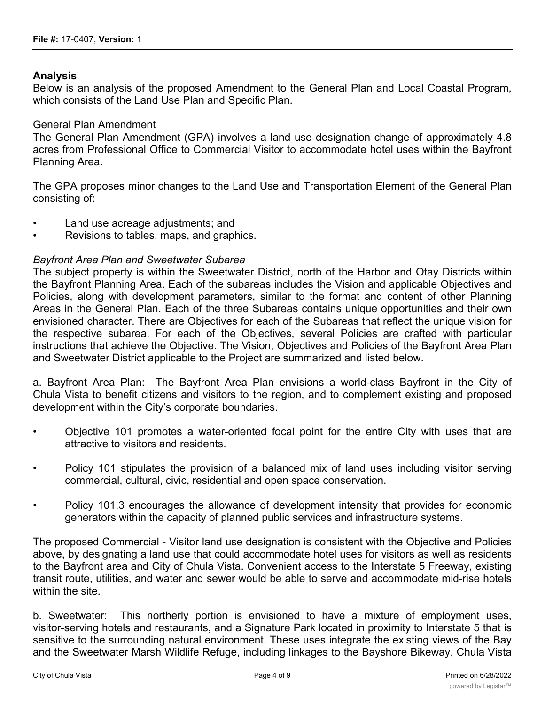#### **Analysis**

Below is an analysis of the proposed Amendment to the General Plan and Local Coastal Program, which consists of the Land Use Plan and Specific Plan.

#### General Plan Amendment

The General Plan Amendment (GPA) involves a land use designation change of approximately 4.8 acres from Professional Office to Commercial Visitor to accommodate hotel uses within the Bayfront Planning Area.

The GPA proposes minor changes to the Land Use and Transportation Element of the General Plan consisting of:

- Land use acreage adjustments; and
- Revisions to tables, maps, and graphics.

#### *Bayfront Area Plan and Sweetwater Subarea*

The subject property is within the Sweetwater District, north of the Harbor and Otay Districts within the Bayfront Planning Area. Each of the subareas includes the Vision and applicable Objectives and Policies, along with development parameters, similar to the format and content of other Planning Areas in the General Plan. Each of the three Subareas contains unique opportunities and their own envisioned character. There are Objectives for each of the Subareas that reflect the unique vision for the respective subarea. For each of the Objectives, several Policies are crafted with particular instructions that achieve the Objective. The Vision, Objectives and Policies of the Bayfront Area Plan and Sweetwater District applicable to the Project are summarized and listed below.

a. Bayfront Area Plan: The Bayfront Area Plan envisions a world-class Bayfront in the City of Chula Vista to benefit citizens and visitors to the region, and to complement existing and proposed development within the City's corporate boundaries.

- Objective 101 promotes a water-oriented focal point for the entire City with uses that are attractive to visitors and residents.
- Policy 101 stipulates the provision of a balanced mix of land uses including visitor serving commercial, cultural, civic, residential and open space conservation.
- Policy 101.3 encourages the allowance of development intensity that provides for economic generators within the capacity of planned public services and infrastructure systems.

The proposed Commercial - Visitor land use designation is consistent with the Objective and Policies above, by designating a land use that could accommodate hotel uses for visitors as well as residents to the Bayfront area and City of Chula Vista. Convenient access to the Interstate 5 Freeway, existing transit route, utilities, and water and sewer would be able to serve and accommodate mid-rise hotels within the site.

b. Sweetwater: This northerly portion is envisioned to have a mixture of employment uses, visitor-serving hotels and restaurants, and a Signature Park located in proximity to Interstate 5 that is sensitive to the surrounding natural environment. These uses integrate the existing views of the Bay and the Sweetwater Marsh Wildlife Refuge, including linkages to the Bayshore Bikeway, Chula Vista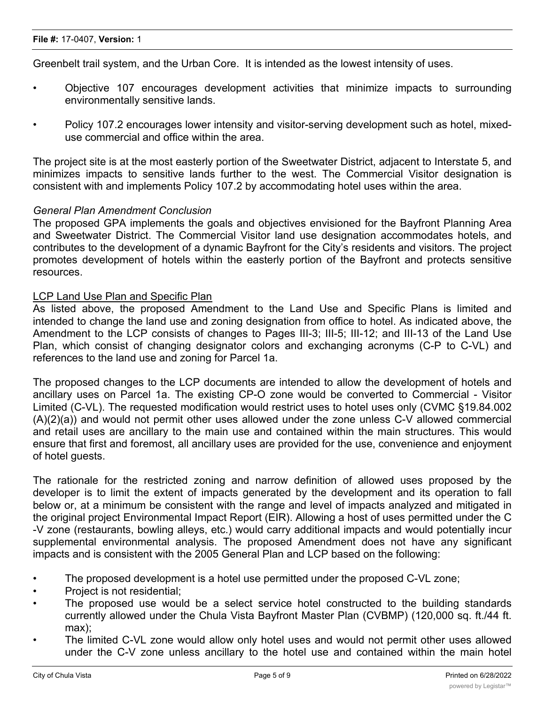Greenbelt trail system, and the Urban Core. It is intended as the lowest intensity of uses.

- Objective 107 encourages development activities that minimize impacts to surrounding environmentally sensitive lands.
- Policy 107.2 encourages lower intensity and visitor-serving development such as hotel, mixeduse commercial and office within the area.

The project site is at the most easterly portion of the Sweetwater District, adjacent to Interstate 5, and minimizes impacts to sensitive lands further to the west. The Commercial Visitor designation is consistent with and implements Policy 107.2 by accommodating hotel uses within the area.

#### *General Plan Amendment Conclusion*

The proposed GPA implements the goals and objectives envisioned for the Bayfront Planning Area and Sweetwater District. The Commercial Visitor land use designation accommodates hotels, and contributes to the development of a dynamic Bayfront for the City's residents and visitors. The project promotes development of hotels within the easterly portion of the Bayfront and protects sensitive resources.

#### LCP Land Use Plan and Specific Plan

As listed above, the proposed Amendment to the Land Use and Specific Plans is limited and intended to change the land use and zoning designation from office to hotel. As indicated above, the Amendment to the LCP consists of changes to Pages III-3; III-5; III-12; and III-13 of the Land Use Plan, which consist of changing designator colors and exchanging acronyms (C-P to C-VL) and references to the land use and zoning for Parcel 1a.

The proposed changes to the LCP documents are intended to allow the development of hotels and ancillary uses on Parcel 1a. The existing CP-O zone would be converted to Commercial - Visitor Limited (C-VL). The requested modification would restrict uses to hotel uses only (CVMC §19.84.002 (A)(2)(a)) and would not permit other uses allowed under the zone unless C-V allowed commercial and retail uses are ancillary to the main use and contained within the main structures. This would ensure that first and foremost, all ancillary uses are provided for the use, convenience and enjoyment of hotel guests.

The rationale for the restricted zoning and narrow definition of allowed uses proposed by the developer is to limit the extent of impacts generated by the development and its operation to fall below or, at a minimum be consistent with the range and level of impacts analyzed and mitigated in the original project Environmental Impact Report (EIR). Allowing a host of uses permitted under the C -V zone (restaurants, bowling alleys, etc.) would carry additional impacts and would potentially incur supplemental environmental analysis. The proposed Amendment does not have any significant impacts and is consistent with the 2005 General Plan and LCP based on the following:

- The proposed development is a hotel use permitted under the proposed C-VL zone;
- Project is not residential;
- The proposed use would be a select service hotel constructed to the building standards currently allowed under the Chula Vista Bayfront Master Plan (CVBMP) (120,000 sq. ft./44 ft. max);
- The limited C-VL zone would allow only hotel uses and would not permit other uses allowed under the C-V zone unless ancillary to the hotel use and contained within the main hotel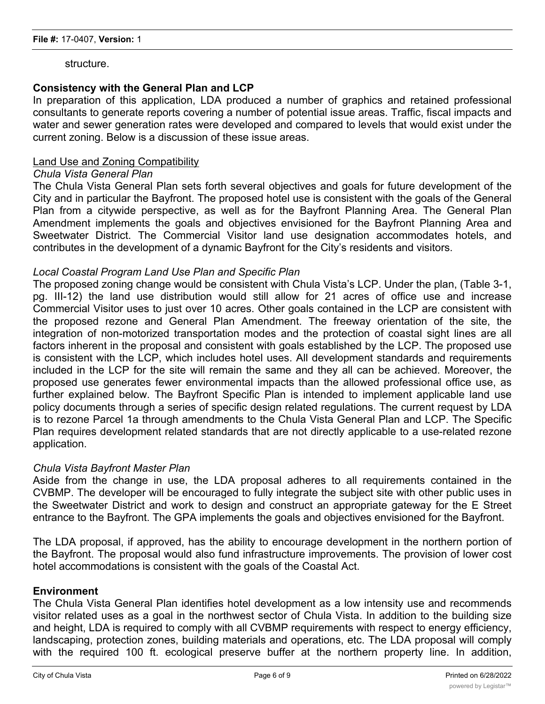structure.

#### **Consistency with the General Plan and LCP**

In preparation of this application, LDA produced a number of graphics and retained professional consultants to generate reports covering a number of potential issue areas. Traffic, fiscal impacts and water and sewer generation rates were developed and compared to levels that would exist under the current zoning. Below is a discussion of these issue areas.

#### Land Use and Zoning Compatibility

#### *Chula Vista General Plan*

The Chula Vista General Plan sets forth several objectives and goals for future development of the City and in particular the Bayfront. The proposed hotel use is consistent with the goals of the General Plan from a citywide perspective, as well as for the Bayfront Planning Area. The General Plan Amendment implements the goals and objectives envisioned for the Bayfront Planning Area and Sweetwater District. The Commercial Visitor land use designation accommodates hotels, and contributes in the development of a dynamic Bayfront for the City's residents and visitors.

#### *Local Coastal Program Land Use Plan and Specific Plan*

The proposed zoning change would be consistent with Chula Vista's LCP. Under the plan, (Table 3-1, pg. III-12) the land use distribution would still allow for 21 acres of office use and increase Commercial Visitor uses to just over 10 acres. Other goals contained in the LCP are consistent with the proposed rezone and General Plan Amendment. The freeway orientation of the site, the integration of non-motorized transportation modes and the protection of coastal sight lines are all factors inherent in the proposal and consistent with goals established by the LCP. The proposed use is consistent with the LCP, which includes hotel uses. All development standards and requirements included in the LCP for the site will remain the same and they all can be achieved. Moreover, the proposed use generates fewer environmental impacts than the allowed professional office use, as further explained below. The Bayfront Specific Plan is intended to implement applicable land use policy documents through a series of specific design related regulations. The current request by LDA is to rezone Parcel 1a through amendments to the Chula Vista General Plan and LCP. The Specific Plan requires development related standards that are not directly applicable to a use-related rezone application.

#### *Chula Vista Bayfront Master Plan*

Aside from the change in use, the LDA proposal adheres to all requirements contained in the CVBMP. The developer will be encouraged to fully integrate the subject site with other public uses in the Sweetwater District and work to design and construct an appropriate gateway for the E Street entrance to the Bayfront. The GPA implements the goals and objectives envisioned for the Bayfront.

The LDA proposal, if approved, has the ability to encourage development in the northern portion of the Bayfront. The proposal would also fund infrastructure improvements. The provision of lower cost hotel accommodations is consistent with the goals of the Coastal Act.

#### **Environment**

The Chula Vista General Plan identifies hotel development as a low intensity use and recommends visitor related uses as a goal in the northwest sector of Chula Vista. In addition to the building size and height, LDA is required to comply with all CVBMP requirements with respect to energy efficiency, landscaping, protection zones, building materials and operations, etc. The LDA proposal will comply with the required 100 ft. ecological preserve buffer at the northern property line. In addition,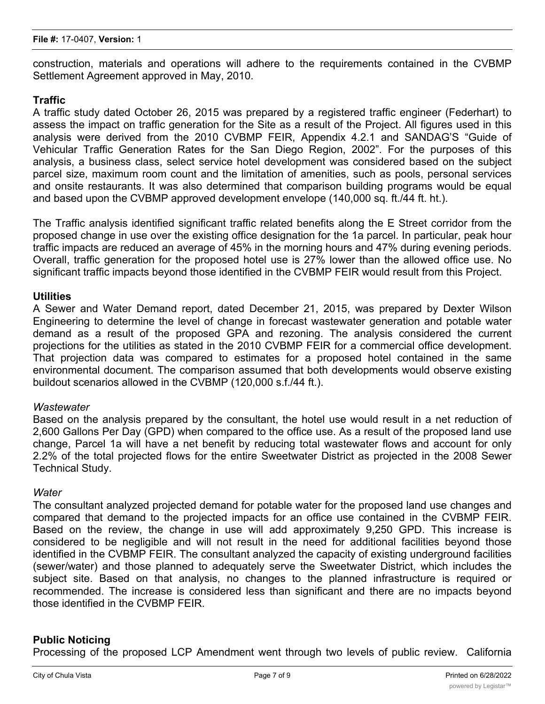construction, materials and operations will adhere to the requirements contained in the CVBMP Settlement Agreement approved in May, 2010.

#### **Traffic**

A traffic study dated October 26, 2015 was prepared by a registered traffic engineer (Federhart) to assess the impact on traffic generation for the Site as a result of the Project. All figures used in this analysis were derived from the 2010 CVBMP FEIR, Appendix 4.2.1 and SANDAG'S "Guide of Vehicular Traffic Generation Rates for the San Diego Region, 2002". For the purposes of this analysis, a business class, select service hotel development was considered based on the subject parcel size, maximum room count and the limitation of amenities, such as pools, personal services and onsite restaurants. It was also determined that comparison building programs would be equal and based upon the CVBMP approved development envelope (140,000 sq. ft./44 ft. ht.).

The Traffic analysis identified significant traffic related benefits along the E Street corridor from the proposed change in use over the existing office designation for the 1a parcel. In particular, peak hour traffic impacts are reduced an average of 45% in the morning hours and 47% during evening periods. Overall, traffic generation for the proposed hotel use is 27% lower than the allowed office use. No significant traffic impacts beyond those identified in the CVBMP FEIR would result from this Project.

#### **Utilities**

A Sewer and Water Demand report, dated December 21, 2015, was prepared by Dexter Wilson Engineering to determine the level of change in forecast wastewater generation and potable water demand as a result of the proposed GPA and rezoning. The analysis considered the current projections for the utilities as stated in the 2010 CVBMP FEIR for a commercial office development. That projection data was compared to estimates for a proposed hotel contained in the same environmental document. The comparison assumed that both developments would observe existing buildout scenarios allowed in the CVBMP (120,000 s.f./44 ft.).

#### *Wastewater*

Based on the analysis prepared by the consultant, the hotel use would result in a net reduction of 2,600 Gallons Per Day (GPD) when compared to the office use. As a result of the proposed land use change, Parcel 1a will have a net benefit by reducing total wastewater flows and account for only 2.2% of the total projected flows for the entire Sweetwater District as projected in the 2008 Sewer Technical Study.

#### *Water*

The consultant analyzed projected demand for potable water for the proposed land use changes and compared that demand to the projected impacts for an office use contained in the CVBMP FEIR. Based on the review, the change in use will add approximately 9,250 GPD. This increase is considered to be negligible and will not result in the need for additional facilities beyond those identified in the CVBMP FEIR. The consultant analyzed the capacity of existing underground facilities (sewer/water) and those planned to adequately serve the Sweetwater District, which includes the subject site. Based on that analysis, no changes to the planned infrastructure is required or recommended. The increase is considered less than significant and there are no impacts beyond those identified in the CVBMP FEIR.

#### **Public Noticing**

Processing of the proposed LCP Amendment went through two levels of public review. California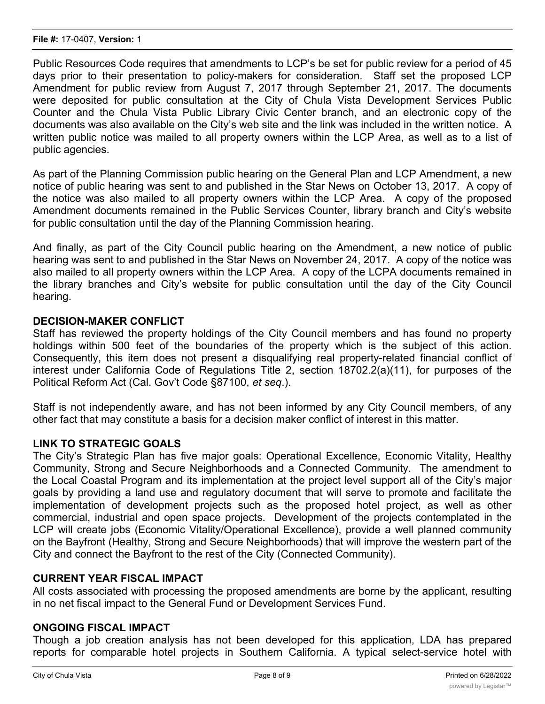Public Resources Code requires that amendments to LCP's be set for public review for a period of 45 days prior to their presentation to policy-makers for consideration. Staff set the proposed LCP Amendment for public review from August 7, 2017 through September 21, 2017. The documents were deposited for public consultation at the City of Chula Vista Development Services Public Counter and the Chula Vista Public Library Civic Center branch, and an electronic copy of the documents was also available on the City's web site and the link was included in the written notice. A written public notice was mailed to all property owners within the LCP Area, as well as to a list of public agencies.

As part of the Planning Commission public hearing on the General Plan and LCP Amendment, a new notice of public hearing was sent to and published in the Star News on October 13, 2017. A copy of the notice was also mailed to all property owners within the LCP Area. A copy of the proposed Amendment documents remained in the Public Services Counter, library branch and City's website for public consultation until the day of the Planning Commission hearing.

And finally, as part of the City Council public hearing on the Amendment, a new notice of public hearing was sent to and published in the Star News on November 24, 2017. A copy of the notice was also mailed to all property owners within the LCP Area. A copy of the LCPA documents remained in the library branches and City's website for public consultation until the day of the City Council hearing.

#### **DECISION-MAKER CONFLICT**

Staff has reviewed the property holdings of the City Council members and has found no property holdings within 500 feet of the boundaries of the property which is the subject of this action. Consequently, this item does not present a disqualifying real property-related financial conflict of interest under California Code of Regulations Title 2, section 18702.2(a)(11), for purposes of the Political Reform Act (Cal. Gov't Code §87100, *et seq*.).

Staff is not independently aware, and has not been informed by any City Council members, of any other fact that may constitute a basis for a decision maker conflict of interest in this matter.

#### **LINK TO STRATEGIC GOALS**

The City's Strategic Plan has five major goals: Operational Excellence, Economic Vitality, Healthy Community, Strong and Secure Neighborhoods and a Connected Community. The amendment to the Local Coastal Program and its implementation at the project level support all of the City's major goals by providing a land use and regulatory document that will serve to promote and facilitate the implementation of development projects such as the proposed hotel project, as well as other commercial, industrial and open space projects. Development of the projects contemplated in the LCP will create jobs (Economic Vitality/Operational Excellence), provide a well planned community on the Bayfront (Healthy, Strong and Secure Neighborhoods) that will improve the western part of the City and connect the Bayfront to the rest of the City (Connected Community).

#### **CURRENT YEAR FISCAL IMPACT**

All costs associated with processing the proposed amendments are borne by the applicant, resulting in no net fiscal impact to the General Fund or Development Services Fund.

#### **ONGOING FISCAL IMPACT**

Though a job creation analysis has not been developed for this application, LDA has prepared reports for comparable hotel projects in Southern California. A typical select-service hotel with